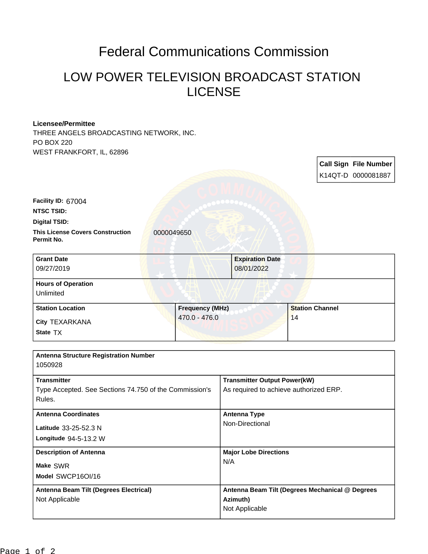## Federal Communications Commission

## LOW POWER TELEVISION BROADCAST STATION LICENSE

## **Licensee/Permittee**

THREE ANGELS BROADCASTING NETWORK, INC. PO BOX 220 WEST FRANKFORT, IL, 62896

|                                                         |                        |                                                 | <b>Call Sign File Number</b> |  |
|---------------------------------------------------------|------------------------|-------------------------------------------------|------------------------------|--|
|                                                         |                        |                                                 | K14QT-D 0000081887           |  |
|                                                         |                        |                                                 |                              |  |
| Facility ID: 67004                                      |                        |                                                 |                              |  |
| <b>NTSC TSID:</b>                                       |                        |                                                 |                              |  |
| <b>Digital TSID:</b>                                    |                        |                                                 |                              |  |
| <b>This License Covers Construction</b><br>Permit No.   | 0000049650             |                                                 |                              |  |
| <b>Grant Date</b>                                       |                        | <b>Expiration Date</b>                          |                              |  |
| 09/27/2019                                              |                        | 08/01/2022                                      |                              |  |
| <b>Hours of Operation</b>                               |                        |                                                 |                              |  |
| Unlimited                                               |                        |                                                 |                              |  |
| <b>Station Location</b>                                 | <b>Frequency (MHz)</b> |                                                 | <b>Station Channel</b>       |  |
| City TEXARKANA                                          | $470.0 - 476.0$        |                                                 | 14                           |  |
| State TX                                                |                        |                                                 |                              |  |
|                                                         |                        |                                                 |                              |  |
| <b>Antenna Structure Registration Number</b><br>1050928 |                        |                                                 |                              |  |
| <b>Transmitter</b>                                      |                        | <b>Transmitter Output Power(kW)</b>             |                              |  |
| Type Accepted. See Sections 74.750 of the Commission's  |                        | As required to achieve authorized ERP.          |                              |  |
| Rules.                                                  |                        |                                                 |                              |  |
| <b>Antenna Coordinates</b>                              |                        | <b>Antenna Type</b>                             |                              |  |
| Latitude 33-25-52.3 N                                   |                        | Non-Directional                                 |                              |  |
| Longitude 94-5-13.2 W                                   |                        |                                                 |                              |  |
| <b>Description of Antenna</b>                           |                        | <b>Major Lobe Directions</b>                    |                              |  |
| Make SWR                                                |                        | N/A                                             |                              |  |
| Model SWCP16OI/16                                       |                        |                                                 |                              |  |
| Antenna Beam Tilt (Degrees Electrical)                  |                        | Antenna Beam Tilt (Degrees Mechanical @ Degrees |                              |  |
| Not Applicable                                          |                        | Azimuth)                                        |                              |  |
|                                                         |                        | Not Applicable                                  |                              |  |
|                                                         |                        |                                                 |                              |  |